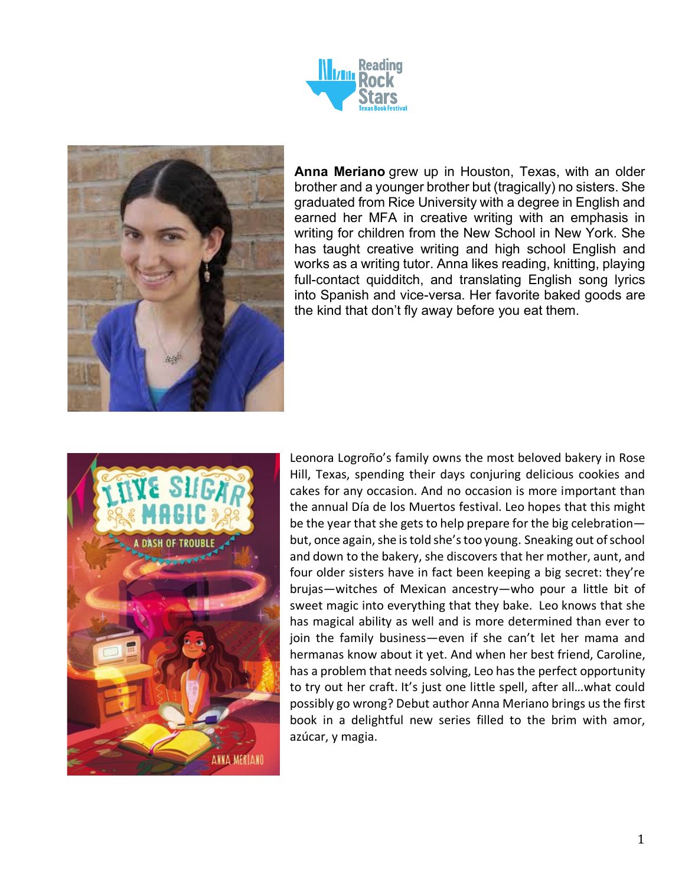



**Anna Meriano** grew up in Houston, Texas, with an older brother and a younger brother but (tragically) no sisters. She graduated from Rice University with a degree in English and earned her MFA in creative writing with an emphasis in writing for children from the New School in New York. She has taught creative writing and high school English and works as a writing tutor. Anna likes reading, knitting, playing full-contact quidditch, and translating English song lyrics into Spanish and vice-versa. Her favorite baked goods are the kind that don't fly away before you eat them.



Leonora Logroño's family owns the most beloved bakery in Rose Hill, Texas, spending their days conjuring delicious cookies and cakes for any occasion. And no occasion is more important than the annual Día de los Muertos festival. Leo hopes that this might be the year that she gets to help prepare for the big celebration but, once again, she is told she's too young. Sneaking out of school and down to the bakery, she discovers that her mother, aunt, and four older sisters have in fact been keeping a big secret: they're brujas—witches of Mexican ancestry—who pour a little bit of sweet magic into everything that they bake. Leo knows that she has magical ability as well and is more determined than ever to join the family business—even if she can't let her mama and hermanas know about it yet. And when her best friend, Caroline, has a problem that needs solving, Leo has the perfect opportunity to try out her craft. It's just one little spell, after all…what could possibly go wrong? Debut author Anna Meriano brings us the first book in a delightful new series filled to the brim with amor, azúcar, y magia.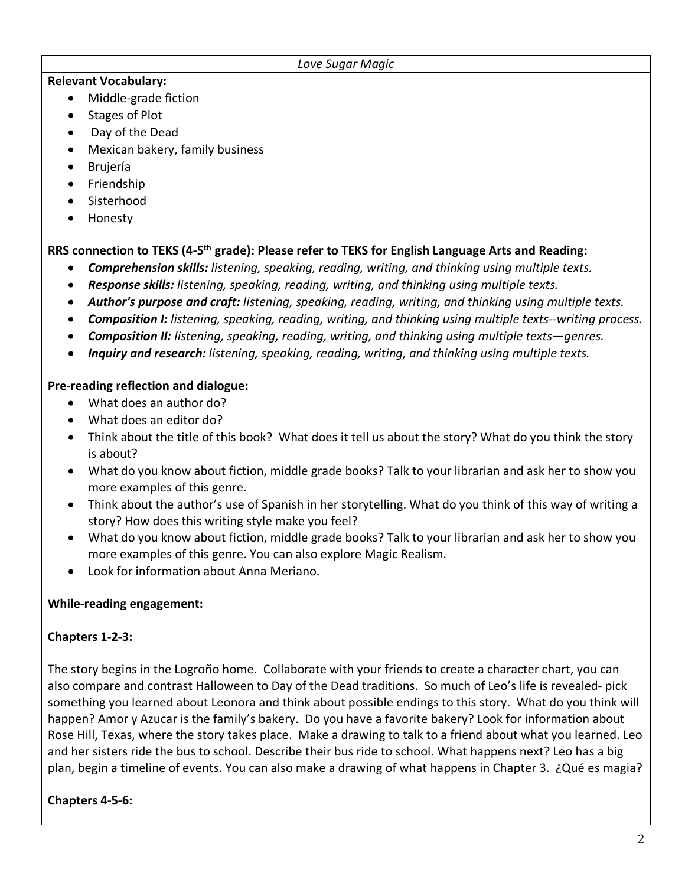#### *Love Sugar Magic*

#### **Relevant Vocabulary:**

- Middle-grade fiction
- Stages of Plot
- Day of the Dead
- Mexican bakery, family business
- Brujería
- Friendship
- Sisterhood
- Honesty

### **RRS connection to TEKS (4-5th grade): Please refer to TEKS for English Language Arts and Reading:**

- *Comprehension skills: listening, speaking, reading, writing, and thinking using multiple texts.*
- *Response skills: listening, speaking, reading, writing, and thinking using multiple texts.*
- *Author's purpose and craft: listening, speaking, reading, writing, and thinking using multiple texts.*
- *Composition I: listening, speaking, reading, writing, and thinking using multiple texts--writing process.*
- *Composition II: listening, speaking, reading, writing, and thinking using multiple texts—genres.*
- *Inquiry and research: listening, speaking, reading, writing, and thinking using multiple texts.*

#### **Pre-reading reflection and dialogue:**

- What does an author do?
- What does an editor do?
- Think about the title of this book? What does it tell us about the story? What do you think the story is about?
- What do you know about fiction, middle grade books? Talk to your librarian and ask her to show you more examples of this genre.
- Think about the author's use of Spanish in her storytelling. What do you think of this way of writing a story? How does this writing style make you feel?
- What do you know about fiction, middle grade books? Talk to your librarian and ask her to show you more examples of this genre. You can also explore Magic Realism.
- Look for information about Anna Meriano.

### **While-reading engagement:**

### **Chapters 1-2-3:**

The story begins in the Logroño home. Collaborate with your friends to create a character chart, you can also compare and contrast Halloween to Day of the Dead traditions. So much of Leo's life is revealed- pick something you learned about Leonora and think about possible endings to this story. What do you think will happen? Amor y Azucar is the family's bakery. Do you have a favorite bakery? Look for information about Rose Hill, Texas, where the story takes place. Make a drawing to talk to a friend about what you learned. Leo and her sisters ride the bus to school. Describe their bus ride to school. What happens next? Leo has a big plan, begin a timeline of events. You can also make a drawing of what happens in Chapter 3. ¿Qué es magia?

### **Chapters 4-5-6:**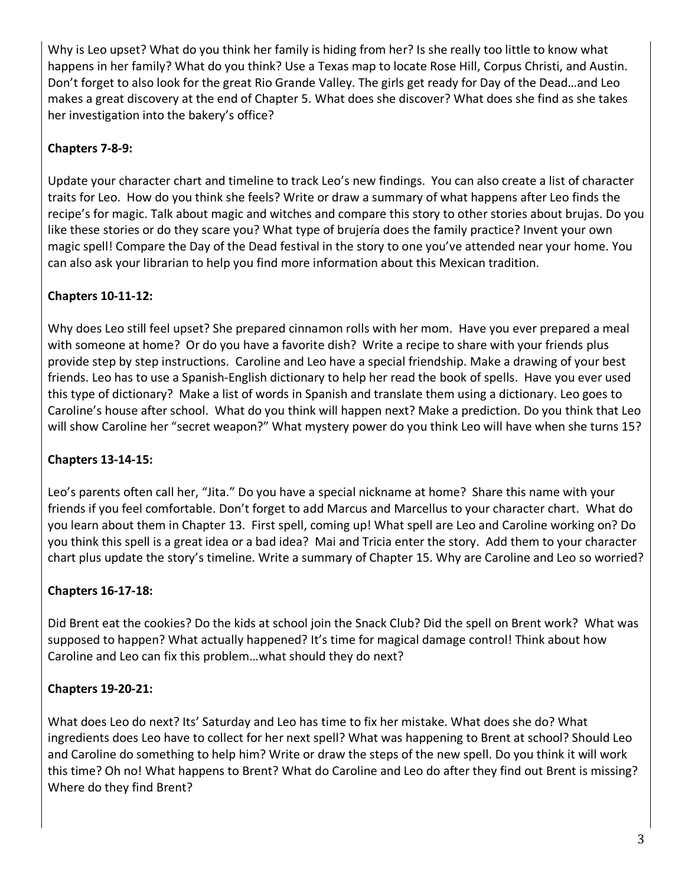Why is Leo upset? What do you think her family is hiding from her? Is she really too little to know what happens in her family? What do you think? Use a Texas map to locate Rose Hill, Corpus Christi, and Austin. Don't forget to also look for the great Rio Grande Valley. The girls get ready for Day of the Dead…and Leo makes a great discovery at the end of Chapter 5. What does she discover? What does she find as she takes her investigation into the bakery's office?

# **Chapters 7-8-9:**

Update your character chart and timeline to track Leo's new findings. You can also create a list of character traits for Leo. How do you think she feels? Write or draw a summary of what happens after Leo finds the recipe's for magic. Talk about magic and witches and compare this story to other stories about brujas. Do you like these stories or do they scare you? What type of brujería does the family practice? Invent your own magic spell! Compare the Day of the Dead festival in the story to one you've attended near your home. You can also ask your librarian to help you find more information about this Mexican tradition.

## **Chapters 10-11-12:**

Why does Leo still feel upset? She prepared cinnamon rolls with her mom. Have you ever prepared a meal with someone at home? Or do you have a favorite dish? Write a recipe to share with your friends plus provide step by step instructions. Caroline and Leo have a special friendship. Make a drawing of your best friends. Leo has to use a Spanish-English dictionary to help her read the book of spells. Have you ever used this type of dictionary? Make a list of words in Spanish and translate them using a dictionary. Leo goes to Caroline's house after school. What do you think will happen next? Make a prediction. Do you think that Leo will show Caroline her "secret weapon?" What mystery power do you think Leo will have when she turns 15?

## **Chapters 13-14-15:**

Leo's parents often call her, "Jita." Do you have a special nickname at home? Share this name with your friends if you feel comfortable. Don't forget to add Marcus and Marcellus to your character chart. What do you learn about them in Chapter 13. First spell, coming up! What spell are Leo and Caroline working on? Do you think this spell is a great idea or a bad idea? Mai and Tricia enter the story. Add them to your character chart plus update the story's timeline. Write a summary of Chapter 15. Why are Caroline and Leo so worried?

## **Chapters 16-17-18:**

Did Brent eat the cookies? Do the kids at school join the Snack Club? Did the spell on Brent work? What was supposed to happen? What actually happened? It's time for magical damage control! Think about how Caroline and Leo can fix this problem…what should they do next?

## **Chapters 19-20-21:**

What does Leo do next? Its' Saturday and Leo has time to fix her mistake. What does she do? What ingredients does Leo have to collect for her next spell? What was happening to Brent at school? Should Leo and Caroline do something to help him? Write or draw the steps of the new spell. Do you think it will work this time? Oh no! What happens to Brent? What do Caroline and Leo do after they find out Brent is missing? Where do they find Brent?